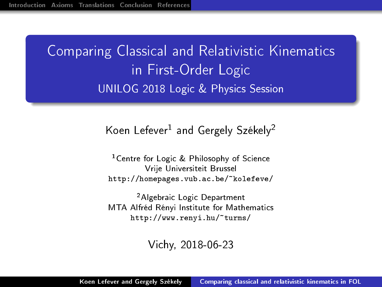<span id="page-0-0"></span>Comparing Classical and Relativistic Kinematics in First-Order Logic UNILOG 2018 Logic & Physics Session

### Koen Lefever<sup>1</sup> and Gergely Székely<sup>2</sup>

<sup>1</sup>Centre for Logic & Philosophy of Science Vrije Universiteit Brussel <http://homepages.vub.ac.be/~kolefeve/>

<sup>2</sup>Algebraic Logic Department MTA Alfréd Rényi Institute for Mathematics <http://www.renyi.hu/~turms/>

Vichy, 2018-06-23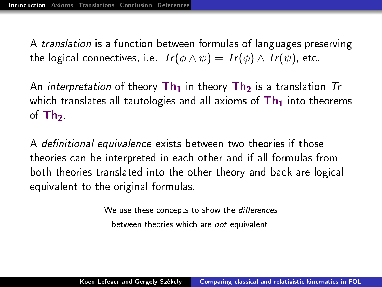<span id="page-1-0"></span>A translation is a function between formulas of languages preserving the logical connectives, i.e.  $Tr(\phi \wedge \psi) = Tr(\phi) \wedge Tr(\psi)$ , etc.

An *interpretation* of theory  $\text{Th}_1$  in theory  $\text{Th}_2$  is a translation  $\text{Tr}$ which translates all tautologies and all axioms of  $Th<sub>1</sub>$  into theorems of  $Th<sub>2</sub>$ .

A definitional equivalence exists between two theories if those theories can be interpreted in each other and if all formulas from both theories translated into the other theory and back are logical equivalent to the original formulas.

> We use these concepts to show the differences between theories which are not equivalent.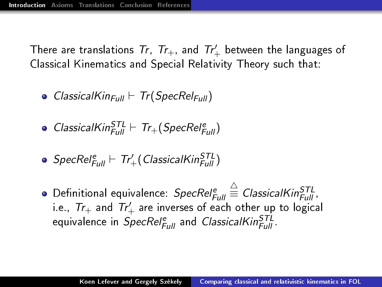There are translations  $\mathcal{T}r, \,\, \mathcal{T}r_+$ , and  $\mathcal{T}r_+'$  between the languages of Classical Kinematics and Special Relativity Theory such that:

- ClassicalKin<sub>Full</sub>  $\vdash$  Tr(SpecRel<sub>Full</sub>)
- $ClassicalKin_{Full}^{STL} \vdash Tr_{+}(SpecRel_{Full}^{e})$
- $\mathcal S$ pec $\mathcal{R}$ el $_{\mathsf{Full}}^{\mathsf{e}} \vdash \mathsf{Tr}_+'$ (ClassicalKin $_{\mathsf{Full}}^{\mathcal{S}\mathsf{TL}}$ )
- Definitional equivalence:  $SpecRel_{Full}^e$  $\stackrel{\triangle}{\equiv}$  ClassicalKin $_{Full}^{STL}$  , i.e.,  $Tr_+$  and  $Tr_+'$  are inverses of each other up to logical equivalence in *SpecRel* $_{Full}^e$  and *ClassicalKin* $_{Full}^{STL}$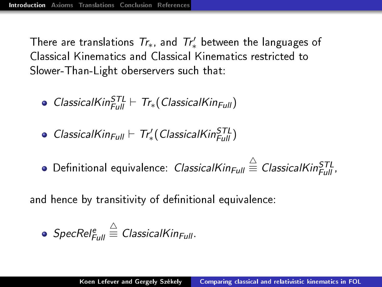There are translations  $Tr_\ast$ , and  $Tr'_\ast$  between the languages of Classical Kinematics and Classical Kinematics restricted to Slower-Than-Light oberservers such that:

- $ClassicalKin_{Full}^{STL} \vdash Tr_*(ClassicalKin_{Full})$
- $ClassicalKin_{Full} \vdash Tr'_{*}(ClassicalKin_{Full}^{STL})$
- Definitional equivalence: *ClassicalKin* $_{Full} \stackrel{\triangle}{\equiv}$  *ClassicalKin* $_{Full}^{STL}$

and hence by transitivity of definitional equivalence:

• 
$$
SpecRel_{Full}^e \stackrel{\triangle}{=} ClassicalKin_{Full}
$$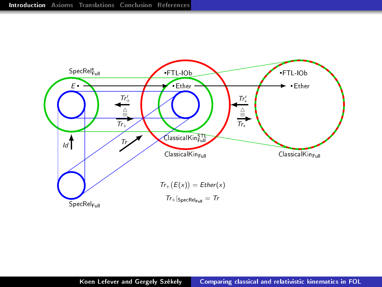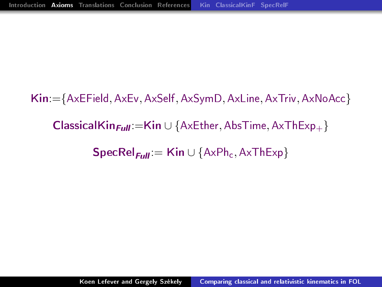<span id="page-5-0"></span>Kin:={AxEField, AxEv, AxSelf, AxSymD, AxLine, AxTriv, AxNoAcc} ClassicalKin $_{Full}:=$ Kin ∪ {AxEther, AbsTime, AxThExp<sub>+</sub>}  $\textsf{SpecRel}_{\text{Full}} := \textsf{Kin} \cup \{\text{AxPh}_c, \text{AxThExp}\}\$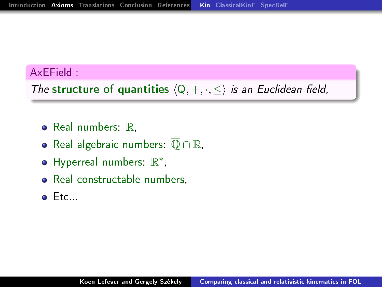#### <span id="page-6-0"></span>AxEField :

The structure of quantities  $\langle Q, +, \cdot, \leq \rangle$  is an Euclidean field,

- $\bullet$  Real numbers:  $\mathbb{R}$ ,
- Real algebraic numbers:  $\overline{O} \cap \mathbb{R}$ ,
- Hyperreal numbers:  $\mathbb{R}^*$ ,
- Real constructable numbers,
- $\bullet$  Etc...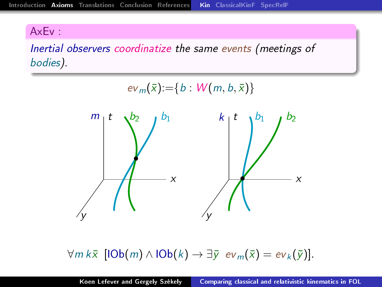#### AxEv :

Inertial observers coordinatize the same events (meetings of bodies).



 $\forall m k \bar{x} \ [\text{IOb}(m) \wedge \text{IOb}(k) \rightarrow \exists \bar{y} \ ev_m(\bar{x}) = ev_k(\bar{y})].$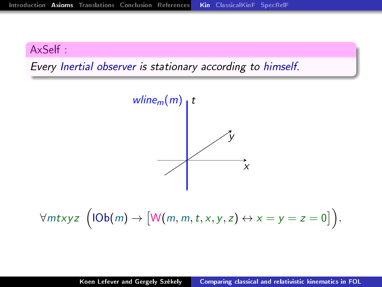#### AxSelf :

Every Inertial observer is stationary according to himself.



 $\forall mtxyz \ \big( \text{1Ob}(m) \rightarrow \big[ \mathsf{W}(m,m,t,x,y,z) \leftrightarrow x=y=z=0 \big] \big).$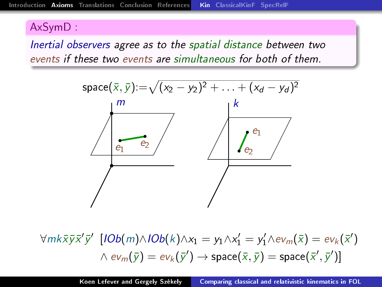#### AxSymD :

Inertial observers agree as to the spatial distance between two events if these two events are simultaneous for both of them.



 $\forall m k \bar{x} \bar{y} \bar{x}' \bar{y}' \; [IOb(m) \land IOb(k) \land x_1 = y_1 \land x_1' = y_1' \land ev_m(\bar{x}) = ev_k(\bar{x}')$  $\wedge \; e\mathsf{v}_{m}(\bar{\mathsf{y}}) = e\mathsf{v}_{k}(\bar{\mathsf{y}}') \rightarrow \mathsf{space}(\bar{\mathsf{x}},\bar{\mathsf{y}}) = \mathsf{space}(\bar{\mathsf{x}}',\bar{\mathsf{y}}')]$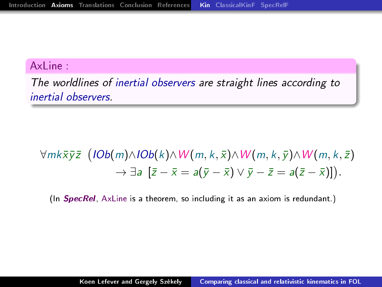#### AxLine :

The worldlines of inertial observers are straight lines according to inertial observers.

# ∀mk $\bar{{\mathsf{x}}}\bar{{\mathsf{y}}}\bar{{\mathsf{z}}}\;$  ( lOb( m) $\wedge$ lOb( k) $\wedge$  W(  $m, k, \bar{{\mathsf{x}}})$  $\wedge$  W(  $m, k, \bar{{\mathsf{y}}})$  $\wedge$  W(  $m, k, \bar{{\mathsf{z}}})$  $\rightarrow \exists a \; [\bar{z}-\bar{x}=a(\bar{y}-\bar{x}) \vee \bar{y}-\bar{z}=a(\bar{z}-\bar{x})].$

(In **SpecRel**, AxLine is a theorem, so including it as an axiom is redundant.)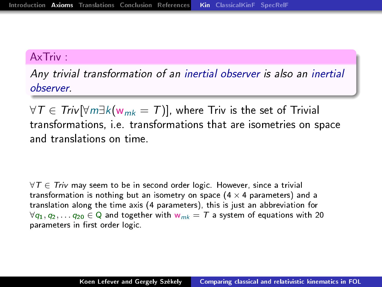#### AxTriv :

Any trivial transformation of an inertial observer is also an inertial observer.

∀T  $\in$  Triv[ $\forall m \exists k$ ( $w_{mk} = T$ )], where Triv is the set of Trivial transformations, i.e. transformations that are isometries on space and translations on time.

 $\forall T \in Triv$  may seem to be in second order logic. However, since a trivial transformation is nothing but an isometry on space  $(4 \times 4$  parameters) and a translation along the time axis (4 parameters), this is just an abbreviation for  $\forall q_1, q_2, \ldots q_{20} \in \mathbb{Q}$  and together with  $w_{mk} = T$  a system of equations with 20 parameters in first order logic.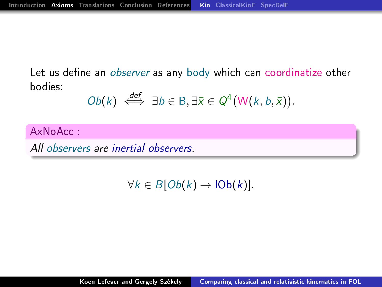Let us define an observer as any body which can coordinatize other bodies:

$$
Ob(k) \iff \exists b \in B, \exists \bar{x} \in Q^4(W(k, b, \bar{x})).
$$

AxNoAcc :

All observers are inertial observers.

 $\forall k \in B[Ob(k) \rightarrow lOb(k)].$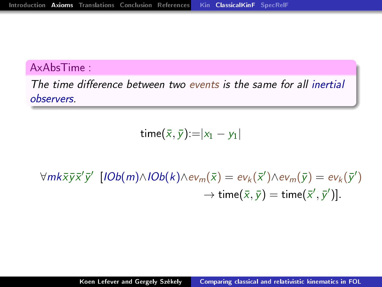#### <span id="page-13-0"></span>AxAbsTime :

The time difference between two events is the same for all inertial observers.

time $(\bar{x}, \bar{y})$ := $|x_1 - y_1|$ 

 $\forall m$ k $\bar{x} \bar{y} \bar{x}' \bar{y}'$  [IOb $(m) \wedge$ IOb $(k) \wedge ev_m(\bar{x}) = ev_k(\bar{x}') \wedge ev_m(\bar{y}) = ev_k(\bar{y}')$  $\rightarrow$  time $(\bar{x}, \bar{y}) =$  time $(\bar{x}', \bar{y}')$ ].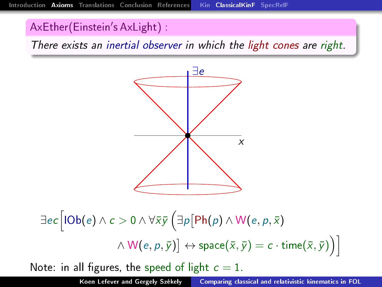### AxEther(Einstein's AxLight) :

There exists an inertial observer in which the light cones are right.



$$
\exists ec [IOb(e) \land c > 0 \land \forall \bar{x} \bar{y} \left( \exists p [Ph(p) \land W(e, p, \bar{x})
$$

$$
\land W(e, p, \bar{y})] \leftrightarrow \text{space}(\bar{x}, \bar{y}) = c \cdot \text{time}(\bar{x}, \bar{y}) \right)]
$$
  
Note: in all figures, the speed of light  $c = 1$ .

Koen Lefever and Gergely Székely | [Comparing classical and relativistic kinematics in FOL](#page-0-0)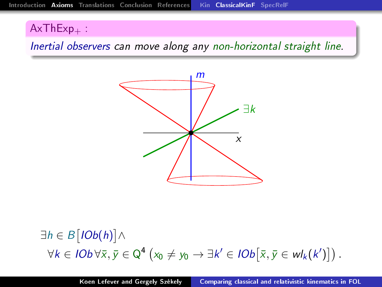### $AxThExp_+$ :

Inertial observers can move along any non-horizontal straight line.



∃h ∈ B $[IOb(h)] \wedge$  $\forall k \in \mathit{IOb}\, \forall \bar{x}, \bar{y} \in \mathbb{Q}^4 \left( x_0 \neq y_0 \rightarrow \exists k' \in \mathit{IOb}\bigl[\bar{x}, \bar{y} \in \mathit{wl}_k(k') \bigr] \right).$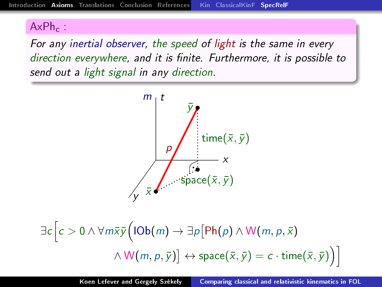## <span id="page-16-0"></span> $AxPh<sub>c</sub>$ :

For any inertial observer, the speed of light is the same in every direction everywhere, and it is finite. Furthermore, it is possible to send out a light signal in any direction.



$$
\exists c \Big[ c > 0 \land \forall m \overline{x} \overline{y} \Big( 10b(m) \to \exists p \Big[ Ph(p) \land W(m, p, \overline{x})
$$

$$
\land W(m, p, \overline{y}) \Big] \leftrightarrow \text{space}(\overline{x}, \overline{y}) = c \cdot \text{time}(\overline{x}, \overline{y}) \Big) \Big]
$$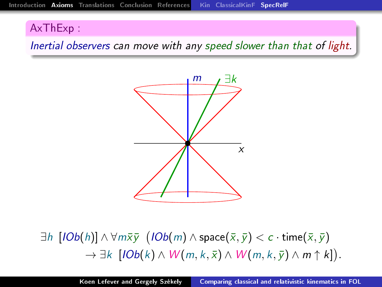#### AxThExp :

Inertial observers can move with any speed slower than that of light.



 $\exists h\; \llbracket \mathit{IOb}(h) \rrbracket \wedge \forall m \bar{\mathsf{x}} \bar{\mathsf{y}} \; \left( \mathit{IOb}(m) \wedge \mathsf{space}(\bar{\mathsf{x}},\bar{\mathsf{y}}) < c \cdot \mathsf{time}(\bar{\mathsf{x}},\bar{\mathsf{y}}) \right)$  $\rightarrow \exists k \; [IOb(k) \wedge W(m,k,\bar{x}) \wedge W(m,k,\bar{y}) \wedge m \uparrow k]).$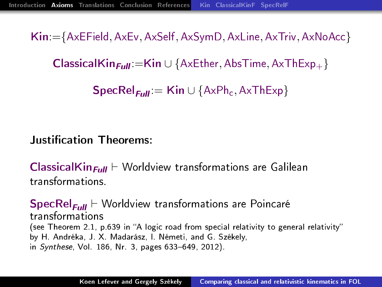Kin:={AxEField, AxEv, AxSelf, AxSymD, AxLine, AxTriv, AxNoAcc}

ClassicalKin<sub>Full</sub>:=Kin ∪ {AxEther, AbsTime, AxThExp<sub>+</sub> }

 $\textsf{SpecRel}_{\text{Full}} := \textsf{Kin} \cup \{\text{AxPh}_c, \text{AxThExp}\}\$ 

#### **Justification Theorems:**

**ClassicalKin<sub>Full</sub>**  $\vdash$  Worldview transformations are Galilean transformations.

 $\sf SpecRel_{Full} \vdash$  Worldview transformations are Poincaré transformations (see Theorem 2.1, p.639 in "A logic road from special relativity to general relativity" by H. Andréka, J. X. Madarász, I. Németi, and G. Székely, in Synthese, Vol. 186, Nr. 3, pages 633-649, 2012).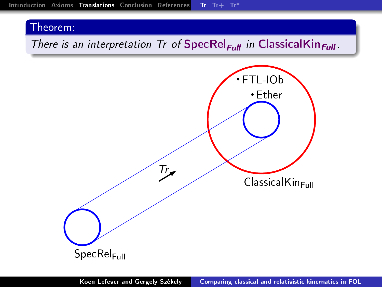### <span id="page-19-0"></span>There is an interpretation Tr of  $\text{SpecRel}_{Full}$  in ClassicalKin<sub>Full</sub>.

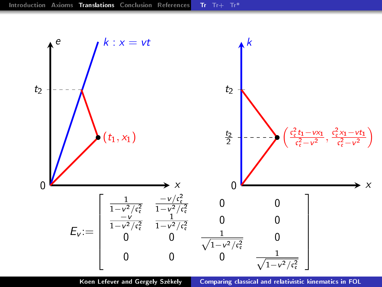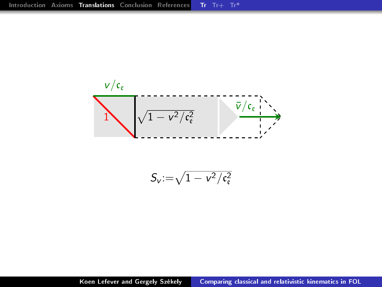

$$
S_v\!:=\!\sqrt{1-v^2/c_{\mathfrak{e}}^2}
$$

Koen Lefever and Gergely Székely | [Comparing classical and relativistic kinematics in FOL](#page-0-0)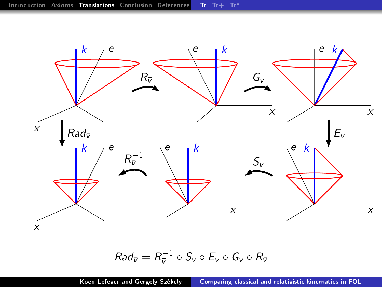

# $Rad_{\bar{v}} = R_{\bar{v}}^{-1} \circ S_v \circ E_v \circ G_v \circ R_{\bar{v}}$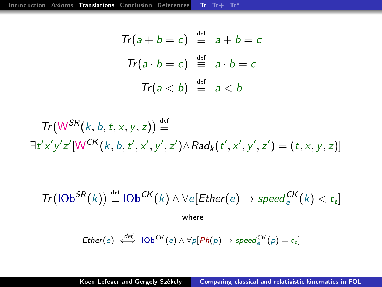$$
Tr(a + b = c) \stackrel{\text{def}}{=} a + b = c
$$

$$
Tr(a \cdot b = c) \stackrel{\text{def}}{=} a \cdot b = c
$$

$$
Tr(a < b) \stackrel{\text{def}}{=} a < b
$$

$$
Tr(W^{SR}(k, b, t, x, y, z)) \stackrel{\text{def}}{=} \\ \exists t'x'y'z'[W^{CK}(k, b, t', x', y', z') \land Rad_k(t', x', y', z') = (t, x, y, z)]
$$

$$
Tr\big(10b^{SR}(k)\big) \stackrel{\text{def}}{=} 10b^{CK}(k) \wedge \forall e[Ether(e) \rightarrow speed^{CK}_{e}(k) < c_{e}]
$$
\nwhere

$$
Ether(e) \stackrel{def}{\iff} 10b^{CK}(e) \wedge \forall p[Ph(p) \rightarrow speed^{CK}_e(p) = c_e]
$$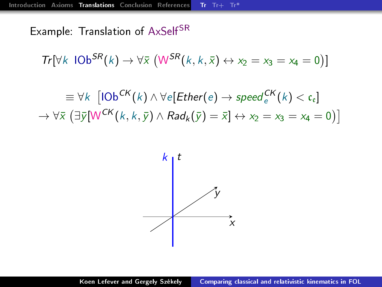Example: Translation of AxSelf<sup>SR</sup>

 $Tr[\forall k \ \text{1Ob}^{SR}(k) \rightarrow \forall \bar{x} \ (W^{SR}(k, k, \bar{x}) \leftrightarrow x_2 = x_3 = x_4 = 0)]$ 

 $\equiv \forall k \; \left[ \mathsf{IOb}^\mathsf{CK}(k) \wedge \forall e[\mathsf{Ether}(e) \rightarrow \mathsf{speed}^\mathsf{CK}_e(k) < \mathfrak{c}_e \right]$  $\rightarrow \forall \bar{x} \left( \exists \bar{y} \big[ \mathsf{W}^{\mathsf{CK}}(k,k,\bar{y}) \wedge \mathsf{Rad}_{k}(\bar{y}) = \bar{x} \big] \leftrightarrow x_2 = x_3 = x_4 = 0 \big) \big]$ 

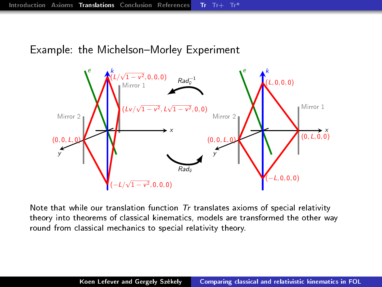Example: the Michelson–Morley Experiment



Note that while our translation function  $Tr$  translates axioms of special relativity theory into theorems of classical kinematics, models are transformed the other way round from classical mechanics to special relativity theory.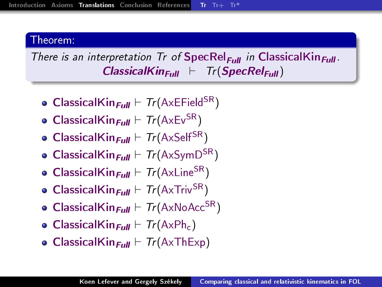There is an interpretation Tr of  $\mathsf{SpecRel}_{\mathsf{Full}}$  in ClassicalKin $_{\mathsf{Full}}$ .  $ClassicalKin_{Full} \vdash Tr(SpecRel_{Full})$ 

- ClassicalKin<sub>Full</sub>  $\vdash$  Tr(AxEField<sup>SR</sup>)
- ClassicalKin<sub>Full</sub>  $\vdash Tr(A \times EV^{SR})$
- ClassicalKin $_{Full} \vdash Tr(A \times SeIf^{SR})$
- ClassicalKin<sub>Full</sub>  $\vdash$  Tr(AxSymD<sup>SR</sup>)
- ClassicalKin<sub>Full</sub>  $\vdash$  Tr(AxLine<sup>SR</sup>)
- ClassicalKin<sub>Full</sub>  $\vdash$  Tr(AxTriv<sup>SR</sup>)
- ClassicalKin<sub>Full</sub>  $\vdash$  Tr(AxNoAcc<sup>SR</sup>)
- ClassicalKin<sub>Full</sub>  $\vdash$  Tr(AxPh<sub>c</sub>)
- ClassicalKin<sub>Full</sub>  $\vdash$  Tr(AxThExp)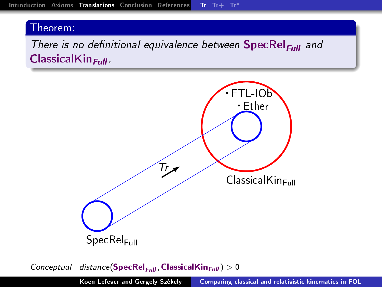There is no definitional equivalence between  $\text{SpecRel}_{\text{Full}}$  and  $ClassicalKin<sub>Full</sub>$ .



Conceptual distance(SpecRel<sub>Full</sub>, ClassicalKin<sub>Full</sub>)  $> 0$ 

Koen Lefever and Gergely Székely | [Comparing classical and relativistic kinematics in FOL](#page-0-0)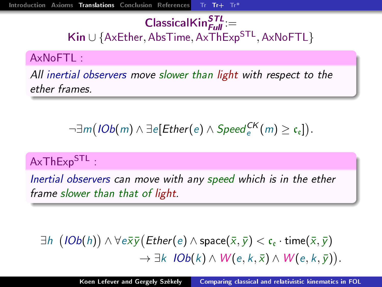## <span id="page-28-0"></span> $\textsf{ClassicalKin}_{\textit{Full}}^{\textit{STL}}$ := Kin ∪ {AxEther, AbsTime, AxThExp<sup>STL</sup>, AxNoFTL}

#### AxNoFTL :

All inertial observers move slower than light with respect to the ether frames.

$$
\neg \exists m \big( \textit{IOb}(m) \land \exists e[\textit{Ether}(e) \land \textit{Speed}^{\textit{CK}}_e(m) \geq c_{e}]\big).
$$

## AxThExp<sup>STL</sup>:

Inertial observers can move with any speed which is in the ether frame slower than that of light.

 $\exists h\ \left( \textit{IOb}(h) \right) \wedge \forall e \bar{\mathsf{x}} \bar{\mathsf{y}} \big( \textit{Ether}(e) \wedge \textsf{space}(\bar{\mathsf{x}},\bar{\mathsf{y}}) < \mathfrak{c}_\mathfrak{e} \cdot \textsf{time}(\bar{\mathsf{x}},\bar{\mathsf{y}})$  $\rightarrow \exists k \; IOb(k) \wedge W(e,k,\bar{x}) \wedge W(e,k,\bar{y}).$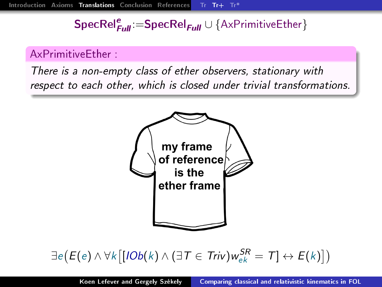# $\mathsf{SpecRel}_{\mathsf{Full}}^e\!\coloneqq\!\!\mathsf{SpecRel}_{\mathsf{Full}}\cup\{\mathsf{A}\mathsf{xPr}\text{imitiveEther}\}$

### AxPrimitiveEther :

There is a non-empty class of ether observers, stationary with respect to each other, which is closed under trivial transformations.



# $\exists e (E(e) \wedge \forall k \big[ [ \mathit{IOb}(k) \wedge (\exists T \in \mathit{Triv}) w_{ek}^{\mathcal{SR}} = T ] \leftrightarrow E(k) ] )$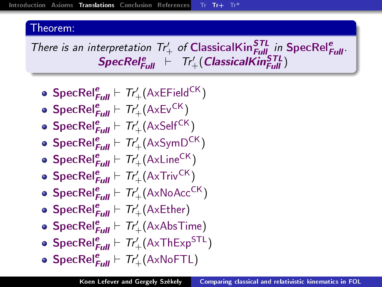There is an interpretation  $Tr'_{+}$  of ClassicalKin ${}_{\text{Full}}^{\text{STL}}$  in SpecRel ${}_{\text{Full}}^{\text{e}}$ .  $\textit{SpecRel}_{\textit{Full}}^e \ \vdash \ \textit{Tr}'_+( \textit{ClassicalKin}_{\textit{Full}}^{\textit{STL}})$ 

\n- \n
$$
\text{SpecRel}_{Full}^e \vdash \text{Tr}'_+ (\text{AxEField}^{CK})
$$
\n
\n- \n
$$
\text{SpecRel}_{Full}^e \vdash \text{Tr}'_+ (\text{AxEv}^{CK})
$$
\n
\n- \n
$$
\text{SpecRel}_{Full}^e \vdash \text{Tr}'_+ (\text{AxSelf}^{CK})
$$
\n
\n- \n
$$
\text{SpecRel}_{Full}^e \vdash \text{Tr}'_+ (\text{AxSymb}^{CK})
$$
\n
\n- \n
$$
\text{SpecRel}_{Full}^e \vdash \text{Tr}'_+ (\text{AxLine}^{CK})
$$
\n
\n- \n
$$
\text{SpecRel}_{Full}^e \vdash \text{Tr}'_+ (\text{AxTwoAcc}^{CK})
$$
\n
\n

- $\mathsf{SpecRel}_{\textit{Full}}^e \vdash \mathsf{Tr}_+^\prime(\mathsf{AxEther})$
- $\mathsf{SpecRel}_{\textit{Full}}^e \vdash \mathsf{Tr}'_+(\mathsf{AxAbsTime})$
- $\mathsf{SpecRel}_{\textit{Full}}^e \vdash \mathit{Tr}_+^\prime(\mathsf{AxThExp}^\mathsf{STL})$
- $\mathsf{SpecRel}_{\textit{Full}}^e \vdash \mathsf{Tr}'_+(\mathsf{AxNoFTL})$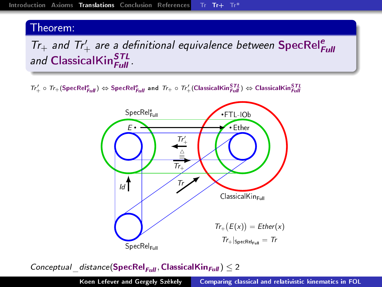# $Tr_+$  and  $Tr'_+$  are a definitional equivalence between SpecRel<sup>e</sup> and ClassicalKin<sup>STL</sup>

 $\tau_{T+}' \circ \tau_{T+}(\mathsf{SpecRel}_{Full}^e) \Leftrightarrow \mathsf{SpecRel}_{Full}^e$  and  $\tau_{T+} \circ \tau_{T+}'(\mathsf{ClassicalKin}_{Full}^{STL}) \Leftrightarrow \mathsf{ClassicalKin}_{Full}^{STL}$ 



Conceptual distance(SpecRel<sub>Full</sub>, ClassicalKin<sub>Full</sub>)  $\leq 2$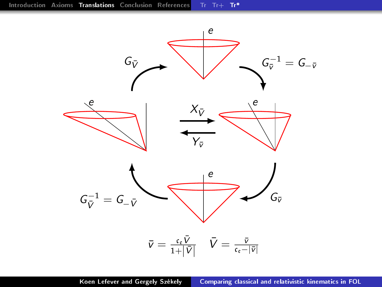<span id="page-32-0"></span>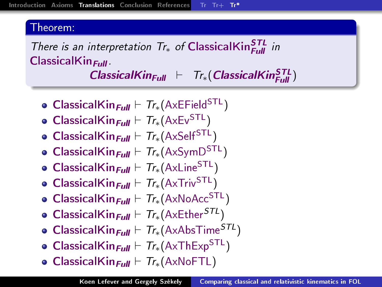There is an interpretation  $Tr_*$  of ClassicalKin $_{Full}^{STL}$  in  $ClassicalKin<sub>Full</sub>$ .

 $\textit{Classical}$ Kin<sub>Full</sub>  $\vdash$  Tr<sub>\*</sub> (ClassicalKin $_{\textit{Full}}^{\textit{STL}}$ )

- ClassicalKin<sub>Full</sub>  $\vdash$  Tr<sub>\*</sub>(AxEField<sup>STL</sup>)
- ClassicalKin<sub>Full</sub>  $\vdash$  Tr<sub>\*</sub>(AxEv<sup>STL</sup>)
- ClassicalKin<sub>Full</sub>  $\vdash$  Tr<sub>\*</sub>(AxSelf<sup>STL</sup>)
- ClassicalKin<sub>Full</sub>  $\vdash$  Tr<sub>\*</sub>(AxSymD<sup>STL</sup>)
- ClassicalKin<sub>Full</sub>  $\vdash$  Tr<sub>\*</sub>(AxLine<sup>STL</sup>)
- ClassicalKin<sub>Full</sub>  $\vdash$  Tr<sub>\*</sub>(AxTriv<sup>STL</sup>)
- ClassicalKin<sub>Full</sub>  $\vdash$  Tr<sub>\*</sub>(AxNoAcc<sup>STL</sup>)
- ClassicalKin<sub>Full</sub>  $\vdash$  Tr<sub>\*</sub>(AxEther<sup>STL</sup>)
- ClassicalKin<sub>Full</sub>  $\vdash$  Tr<sub>\*</sub>(AxAbsTime<sup>STL</sup>)
- ClassicalKin<sub>Full</sub>  $\vdash$  Tr<sub>\*</sub>(AxThExp<sup>STL</sup>)
- ClassicalKin<sub>Full</sub>  $\vdash$  Tr<sub>\*</sub>(AxNoFTL)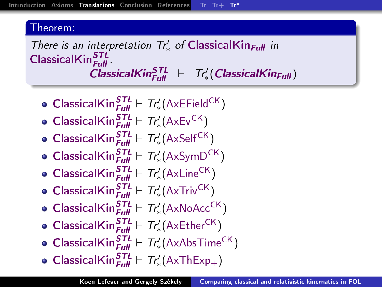There is an interpretation  $Tr'_{*}$  of ClassicalKin<sub>Full</sub> in  $\mathsf{ClassicalKin}^{\textit{STL}}_{\textit{Full}}$  .  $\textit{ClassicalKin}_{\textit{Full}}^{\textit{STL}} \;\;\vdash\;\; Tr'_{*}(\textit{ClassicalKin}_{\textit{Full}})$ 

- **ClassicalKin** ${}_{\text{Full}}^{\text{STL}}$   $\vdash$   $Tr'_{*}(\text{AxEField}^{\text{CK}})$
- ClassicalKin ${}_{\text{Full}}^{\text{STL}}$   $\vdash$   $Tr'_{*}$ (AxEv<sup>CK</sup>)
- ClassicalKin $S_{\text{full}}^{\text{STL}} \vdash T r'_{*} (\text{AxSelf}^{\text{CK}})$
- ClassicalKin ${}_{Full}^{STL} \vdash Tr'_{*}(\text{AxSymD}^{CK})$
- ClassicalKin ${}_{Full}^{STL} \vdash Tr'_{*}(\text{AxLine}^{CK})$
- **ClassicalKin** ${}_{\text{Full}}^{\text{STL}}$   $\vdash$   $Tr'_{*}(\text{AxTriv}^{\text{CK}})$
- $\textsf{ClassicalKin}_{\textit{Full}}^{\textit{STL}} \vdash \textit{Tr}'_*(A \times NoAcc^{CK})$
- Classical $\mathsf{Kin}^{\mathcal{S} \mathcal{T}L}_{\mathsf{Full}} \vdash \mathcal{T}_{r'_{*}}(\mathsf{AxEther}^{\mathsf{CK}})$
- Classical $\mathsf{Kin}^{\mathcal{S}TL}_{\mathsf{Full}} \vdash \mathsf{Tr}'_*(\mathsf{AxAbsTime}^\mathsf{CK})$
- ClassicalKin $\frac{STL}{Full} \vdash \textit{Tr}'_*(AxThExp_+)$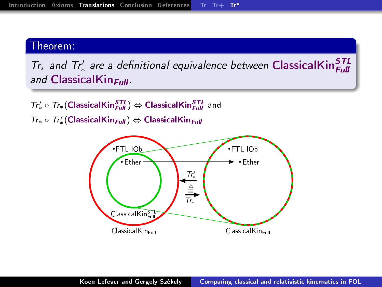$Tr_*$  and  $Tr'_*$  are a definitional equivalence between ClassicalKin $_{Full}^{STL}$ and ClassicalKin $_{\text{Full}}$ .

 $\mathcal{T}r'_* \circ \mathcal{T}r_*( \textsf{ClassicalKin}^{\textsf{STL}}_{Full} ) \Leftrightarrow \textsf{ClassicalKin}^{\textsf{STL}}_{Full}$  and  $Tr_* \circ Tr'_*$ (ClassicalKin $_{Full}$ ) ⇔ ClassicalKin $_{Full}$ 

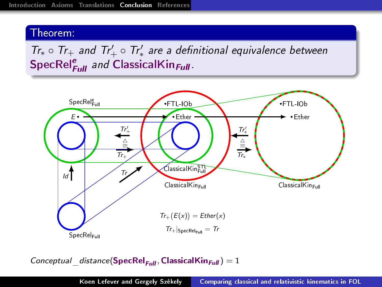<span id="page-36-0"></span> $Tr_* \circ Tr_+$  and  $Tr'_+ \circ Tr'_*$  are a definitional equivalence between SpecRel $_{Full}^e$  and ClassicalKin $_{Full}$ .



Conceptual distance(SpecRel<sub>Full</sub>, ClassicalKin<sub>Full</sub>) = 1